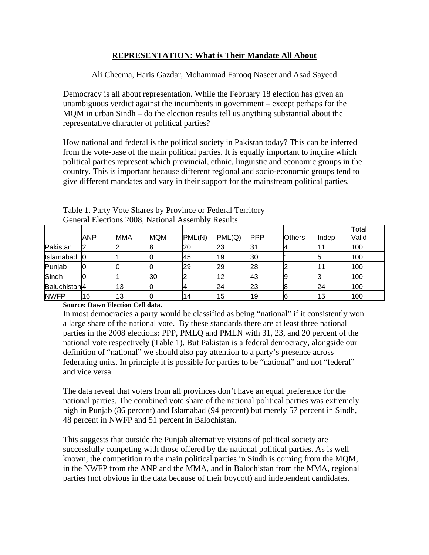## **REPRESENTATION: What is Their Mandate All About**

Ali Cheema, Haris Gazdar, Mohammad Farooq Naseer and Asad Sayeed

Democracy is all about representation. While the February 18 election has given an unambiguous verdict against the incumbents in government – except perhaps for the MQM in urban Sindh – do the election results tell us anything substantial about the representative character of political parties?

How national and federal is the political society in Pakistan today? This can be inferred from the vote-base of the main political parties. It is equally important to inquire which political parties represent which provincial, ethnic, linguistic and economic groups in the country. This is important because different regional and socio-economic groups tend to give different mandates and vary in their support for the mainstream political parties.

|                          |            |     |            |        |        |            |               |       | Total |
|--------------------------|------------|-----|------------|--------|--------|------------|---------------|-------|-------|
|                          | <b>ANP</b> | MMA | <b>MQM</b> | PML(N) | PML(Q) | <b>PPP</b> | <b>Others</b> | Indep | Valid |
| Pakistan                 |            |     | в          | 20     | 23     | 31         |               |       | 100   |
| Islamabad                | 10         |     |            | 145    | 19     | 30         |               |       | 100   |
| Punjab                   | 10         |     |            | 29     | 29     | 28         |               |       | 100   |
| Sindh                    | 10         |     | 30         |        | 12     | 43         |               | ש     | 100   |
| Baluchistan <sup>4</sup> |            | 13  |            |        | 24     | 23         |               | 24    | 100   |
| <b>NWFP</b>              | 16         | 13  |            | 14     | 15     | 19         |               | 15    | 100   |

Table 1. Party Vote Shares by Province or Federal Territory General Elections 2008, National Assembly Results

## **Source: Dawn Election Cell data.**

In most democracies a party would be classified as being "national" if it consistently won a large share of the national vote. By these standards there are at least three national parties in the 2008 elections: PPP, PMLQ and PMLN with 31, 23, and 20 percent of the national vote respectively (Table 1). But Pakistan is a federal democracy, alongside our definition of "national" we should also pay attention to a party's presence across federating units. In principle it is possible for parties to be "national" and not "federal" and vice versa.

The data reveal that voters from all provinces don't have an equal preference for the national parties. The combined vote share of the national political parties was extremely high in Punjab (86 percent) and Islamabad (94 percent) but merely 57 percent in Sindh, 48 percent in NWFP and 51 percent in Balochistan.

This suggests that outside the Punjab alternative visions of political society are successfully competing with those offered by the national political parties. As is well known, the competition to the main political parties in Sindh is coming from the MQM, in the NWFP from the ANP and the MMA, and in Balochistan from the MMA, regional parties (not obvious in the data because of their boycott) and independent candidates.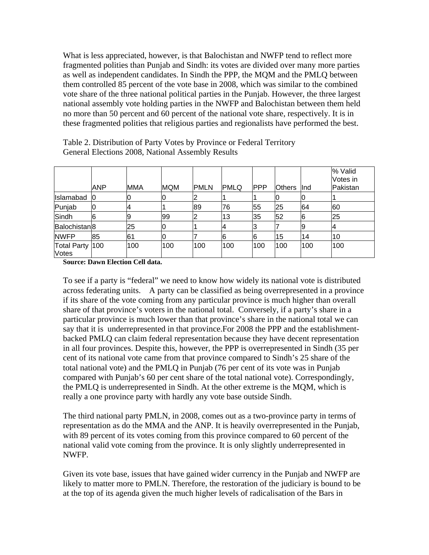What is less appreciated, however, is that Balochistan and NWFP tend to reflect more fragmented polities than Punjab and Sindh: its votes are divided over many more parties as well as independent candidates. In Sindh the PPP, the MQM and the PMLQ between them controlled 85 percent of the vote base in 2008, which was similar to the combined vote share of the three national political parties in the Punjab. However, the three largest national assembly vote holding parties in the NWFP and Balochistan between them held no more than 50 percent and 60 percent of the national vote share, respectively. It is in these fragmented polities that religious parties and regionalists have performed the best.

|                                 | <b>ANP</b>     | <b>MMA</b> | <b>MQM</b> | <b>PMLN</b> | <b>PMLQ</b> | <b>PPP</b> | <b>Others</b> | llnd | % Valid<br>Votes in<br>Pakistan |
|---------------------------------|----------------|------------|------------|-------------|-------------|------------|---------------|------|---------------------------------|
| Islamabad                       | 0              | Ю          |            |             |             |            |               |      |                                 |
| Punjab                          | 10             |            |            | 89          | 76          | 55         | 25            | 64   | 60                              |
| Sindh                           | $\overline{6}$ | 9          | 99         |             | 13          | 35         | 52            | 6    | 25                              |
| Balochistan <sup>8</sup>        |                | 25         | 0          |             |             |            |               |      | 4                               |
| <b>NWFP</b>                     | 85             | 61         |            |             |             | 6          | 15            | 14   | 10                              |
| Total Party 100<br><b>Votes</b> |                | 100        | 100        | 100         | 100         | 100        | 100           | 100  | 100                             |

Table 2. Distribution of Party Votes by Province or Federal Territory General Elections 2008, National Assembly Results

**Source: Dawn Election Cell data.** 

To see if a party is "federal" we need to know how widely its national vote is distributed across federating units. A party can be classified as being overrepresented in a province if its share of the vote coming from any particular province is much higher than overall share of that province's voters in the national total. Conversely, if a party's share in a particular province is much lower than that province's share in the national total we can say that it is underrepresented in that province.For 2008 the PPP and the establishmentbacked PMLQ can claim federal representation because they have decent representation in all four provinces. Despite this, however, the PPP is overrepresented in Sindh (35 per cent of its national vote came from that province compared to Sindh's 25 share of the total national vote) and the PMLQ in Punjab (76 per cent of its vote was in Punjab compared with Punjab's 60 per cent share of the total national vote). Correspondingly, the PMLQ is underrepresented in Sindh. At the other extreme is the MQM, which is really a one province party with hardly any vote base outside Sindh.

The third national party PMLN, in 2008, comes out as a two-province party in terms of representation as do the MMA and the ANP. It is heavily overrepresented in the Punjab, with 89 percent of its votes coming from this province compared to 60 percent of the national valid vote coming from the province. It is only slightly underrepresented in NWFP.

Given its vote base, issues that have gained wider currency in the Punjab and NWFP are likely to matter more to PMLN. Therefore, the restoration of the judiciary is bound to be at the top of its agenda given the much higher levels of radicalisation of the Bars in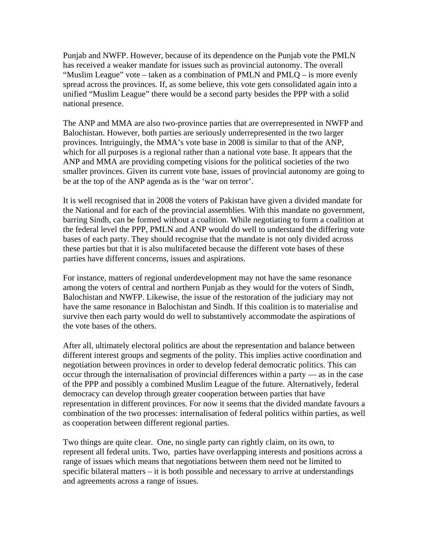Punjab and NWFP. However, because of its dependence on the Punjab vote the PMLN has received a weaker mandate for issues such as provincial autonomy. The overall "Muslim League" vote – taken as a combination of PMLN and PMLQ – is more evenly spread across the provinces. If, as some believe, this vote gets consolidated again into a unified "Muslim League" there would be a second party besides the PPP with a solid national presence.

The ANP and MMA are also two-province parties that are overrepresented in NWFP and Balochistan. However, both parties are seriously underrepresented in the two larger provinces. Intriguingly, the MMA's vote base in 2008 is similar to that of the ANP, which for all purposes is a regional rather than a national vote base. It appears that the ANP and MMA are providing competing visions for the political societies of the two smaller provinces. Given its current vote base, issues of provincial autonomy are going to be at the top of the ANP agenda as is the 'war on terror'.

It is well recognised that in 2008 the voters of Pakistan have given a divided mandate for the National and for each of the provincial assemblies. With this mandate no government, barring Sindh, can be formed without a coalition. While negotiating to form a coalition at the federal level the PPP, PMLN and ANP would do well to understand the differing vote bases of each party. They should recognise that the mandate is not only divided across these parties but that it is also multifaceted because the different vote bases of these parties have different concerns, issues and aspirations.

For instance, matters of regional underdevelopment may not have the same resonance among the voters of central and northern Punjab as they would for the voters of Sindh, Balochistan and NWFP. Likewise, the issue of the restoration of the judiciary may not have the same resonance in Balochistan and Sindh. If this coalition is to materialise and survive then each party would do well to substantively accommodate the aspirations of the vote bases of the others.

After all, ultimately electoral politics are about the representation and balance between different interest groups and segments of the polity. This implies active coordination and negotiation between provinces in order to develop federal democratic politics. This can occur through the internalisation of provincial differences within a party — as in the case of the PPP and possibly a combined Muslim League of the future. Alternatively, federal democracy can develop through greater cooperation between parties that have representation in different provinces. For now it seems that the divided mandate favours a combination of the two processes: internalisation of federal politics within parties, as well as cooperation between different regional parties.

Two things are quite clear. One, no single party can rightly claim, on its own, to represent all federal units. Two, parties have overlapping interests and positions across a range of issues which means that negotiations between them need not be limited to specific bilateral matters – it is both possible and necessary to arrive at understandings and agreements across a range of issues.